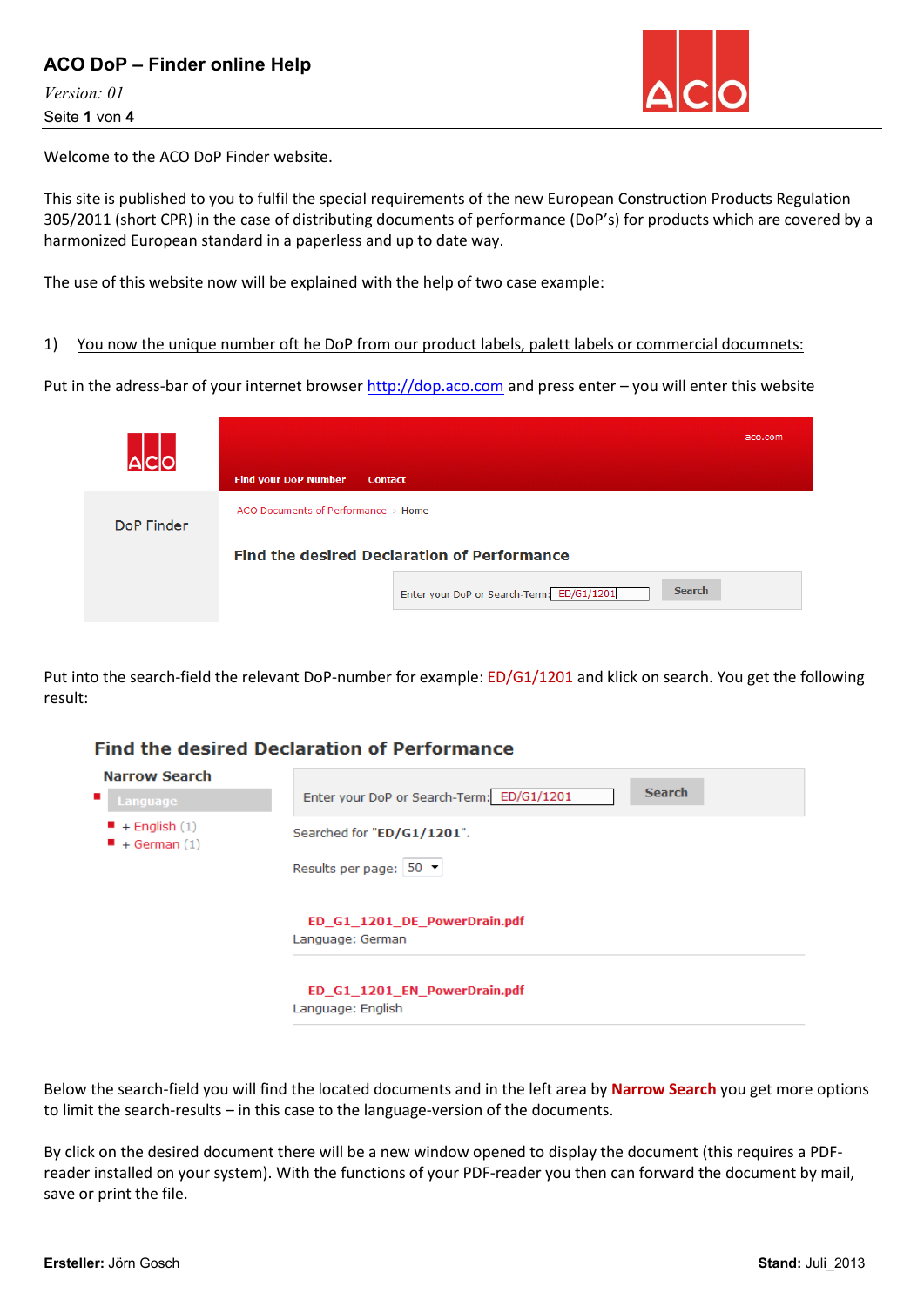## **ACO DoP – Finder online Help**

*Version: 01* Seite **1** von **4**



Welcome to the ACO DoP Finder website.

This site is published to you to fulfil the special requirements of the new European Construction Products Regulation 305/2011 (short CPR) in the case of distributing documents of performance (DoP's) for products which are covered by a harmonized European standard in a paperless and up to date way.

The use of this website now will be explained with the help of two case example:

1) You now the unique number oft he DoP from our product labels, palett labels or commercial documnets:

Put in the adress-bar of your internet browse[r http://dop.aco.com](http://dop.aco.com/) and press enter - you will enter this website

|            | <b>Find your DoP Number</b><br><b>Contact</b>                                                                    | aco.com |
|------------|------------------------------------------------------------------------------------------------------------------|---------|
| DoP Finder | ACO Documents of Performance $>$ Home                                                                            |         |
|            | <b>Find the desired Declaration of Performance</b><br><b>Search</b><br>Enter your DoP or Search-Term: ED/G1/1201 |         |

Put into the search-field the relevant DoP-number for example: ED/G1/1201 and klick on search. You get the following result:

# **Find the desired Declaration of Performance**

| Narrow Search    | <b>Search</b>                                     |
|------------------|---------------------------------------------------|
| Language         | Enter your DoP or Search-Term: ED/G1/1201         |
| $+$ English (1)  | Searched for "ED/G1/1201".                        |
| $+$ German $(1)$ | Results per page: 50                              |
|                  | ED_G1_1201_DE_PowerDrain.pdf<br>Language: German  |
|                  | ED G1 1201 EN PowerDrain.pdf<br>Language: English |

Below the search-field you will find the located documents and in the left area by **Narrow Search** you get more options to limit the search-results – in this case to the language-version of the documents.

By click on the desired document there will be a new window opened to display the document (this requires a PDFreader installed on your system). With the functions of your PDF-reader you then can forward the document by mail, save or print the file.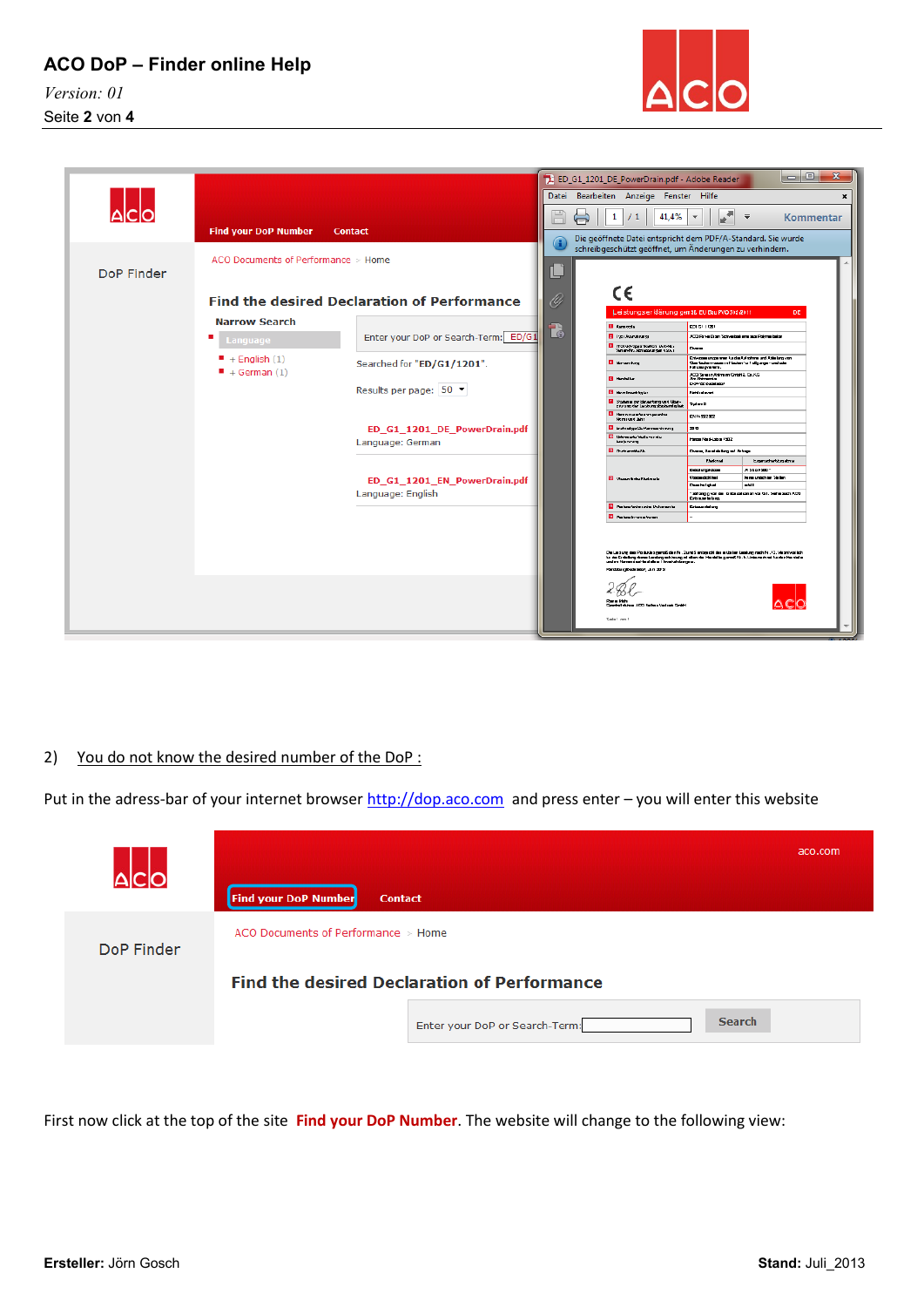**ACO DoP – Finder online Help**

*Version: 01* Seite **2** von **4**



|            |                                     |                                                    |    | ED_G1_1201_DE_PowerDrain.pdf - Adobe Reader                                                                                                                                                                                                                                                                                                                      |                                                                                 |                                                          | $=$ $\blacksquare$<br>$\mathbf x$ |
|------------|-------------------------------------|----------------------------------------------------|----|------------------------------------------------------------------------------------------------------------------------------------------------------------------------------------------------------------------------------------------------------------------------------------------------------------------------------------------------------------------|---------------------------------------------------------------------------------|----------------------------------------------------------|-----------------------------------|
|            |                                     |                                                    |    | Datei Bearbeiten Anzeige Fenster Hilfe                                                                                                                                                                                                                                                                                                                           |                                                                                 |                                                          | $\pmb{\times}$                    |
|            |                                     |                                                    |    | 41,4%<br>1<br>/1                                                                                                                                                                                                                                                                                                                                                 | $\sqrt{2}$<br>$\overline{\phantom{a}}$                                          | $\equiv$                                                 | Kommentar                         |
|            | <b>Find your DoP Number</b>         | <b>Contact</b>                                     | G  | Die geöffnete Datei entspricht dem PDF/A-Standard. Sie wurde                                                                                                                                                                                                                                                                                                     |                                                                                 |                                                          |                                   |
|            | ACO Documents of Performance > Home |                                                    |    | schreibgeschützt geöffnet, um Änderungen zu verhindern.                                                                                                                                                                                                                                                                                                          |                                                                                 |                                                          |                                   |
| DoP Finder |                                     |                                                    | L, |                                                                                                                                                                                                                                                                                                                                                                  |                                                                                 |                                                          |                                   |
|            |                                     | <b>Find the desired Declaration of Performance</b> | O  | C€                                                                                                                                                                                                                                                                                                                                                               |                                                                                 |                                                          |                                   |
|            | <b>Narrow Search</b>                |                                                    |    | Leistungser klärung gemäß EU BauPVO 305/2011                                                                                                                                                                                                                                                                                                                     |                                                                                 | DE.                                                      |                                   |
|            |                                     | Enter your DoP or Search-Term: ED/G1               | 7  | El Kampota<br><b>B</b> the class strongs                                                                                                                                                                                                                                                                                                                         | 0010111201<br>ACC Revertion Schweizelung aus Polymetelon                        |                                                          |                                   |
|            | Language                            |                                                    |    | El Thedukt-Spaankulsen (Art-No.)<br>Samar-No. Almassungan usosi                                                                                                                                                                                                                                                                                                  | Down                                                                            |                                                          |                                   |
|            | $+$ English (1)                     | Searched for "ED/G1/1201".                         |    | <b>El terrandung</b>                                                                                                                                                                                                                                                                                                                                             | Clastic the myseless in Flashen for Fully anger- und color<br>Exhausteration.   | Entreasuremperment to dis Autralians and Able larg von   |                                   |
|            | $+$ German (1)                      | Results per page: 50 ▼                             |    | <b>B</b> Hawkiller                                                                                                                                                                                                                                                                                                                                               | ACC Severa Ahlmann Crabhiz, Co.KC<br><b>Jan Jahrendor</b><br>D-24 782 Budel ado |                                                          |                                   |
|            |                                     |                                                    |    | <b>B</b> thresholder                                                                                                                                                                                                                                                                                                                                             | <b>Notification</b>                                                             |                                                          |                                   |
|            |                                     |                                                    |    | <b>El</b> Systems our bleverburg und Utar-<br>pro ung der Leukungsbackendigket<br><b>В непервическим</b>                                                                                                                                                                                                                                                         | Tydem2<br>EN 14592002                                                           |                                                          |                                   |
|            |                                     | ED G1 1201 DE PowerDrain.pdf                       |    | Nomi and Jahr<br><b>El tratadox</b> Co-Nanzos chrang                                                                                                                                                                                                                                                                                                             | 2010                                                                            |                                                          |                                   |
|            |                                     |                                                    |    | <b>B</b> Not murts that a for the<br><b>Enterprise</b>                                                                                                                                                                                                                                                                                                           | Hans Nad-Labo 1502                                                              |                                                          |                                   |
|            |                                     | Language: German                                   |    | <b>III</b> that unditarity                                                                                                                                                                                                                                                                                                                                       | Division, Constitutions and Antique                                             |                                                          |                                   |
|            |                                     |                                                    |    |                                                                                                                                                                                                                                                                                                                                                                  | Earknut                                                                         | <b>Eigenschirtungsbnu</b>                                |                                   |
|            |                                     |                                                    |    |                                                                                                                                                                                                                                                                                                                                                                  | <b>Detail unpot boom</b>                                                        | <b>JU Short 2001</b>                                     |                                   |
|            |                                     | ED_G1_1201_EN_PowerDrain.pdf                       |    | <b>B</b> Nusan ticket Materials                                                                                                                                                                                                                                                                                                                                  | Viscon del filmi<br><b>Downto Total</b>                                         | <b>Harry undich bin Station</b><br><b>AMI</b>            |                                   |
|            |                                     | Language: English                                  |    |                                                                                                                                                                                                                                                                                                                                                                  |                                                                                 | skhargig van die Gritaualustian van Gill, Sehe auch ACG. |                                   |
|            |                                     |                                                    |    | <b>D</b> Wastern betraustra Delementa                                                                                                                                                                                                                                                                                                                            | Erbamielum.<br><b>Crimerialum</b>                                               |                                                          |                                   |
|            |                                     |                                                    |    | <b>To you have in roman borners</b>                                                                                                                                                                                                                                                                                                                              |                                                                                 |                                                          |                                   |
|            |                                     |                                                    |    | De Leslung des Poduklesgemaß den N. Zund 9 entspecht der erklaten Leolung nach N. / 2. Verantwattich<br>tu de Cráisbag duais Leabagastús urg aí alter de Mealalle gendő N. 5. Unie audusi for den Mercielle.<br>urd m Rammdeo Mealalle a Liverkah brageo.<br>Pandalong@udebobs! Jim 2019<br>Fann Mah<br>Constallating JCCI fortunal/alsols Creat<br>Seite Lyon 1 |                                                                                 |                                                          |                                   |

### 2) You do not know the desired number of the DoP :

Put in the adress-bar of your internet browse[r http://dop.aco.com](http://dop.aco.com/) and press enter - you will enter this website



First now click at the top of the site **Find your DoP Number**. The website will change to the following view: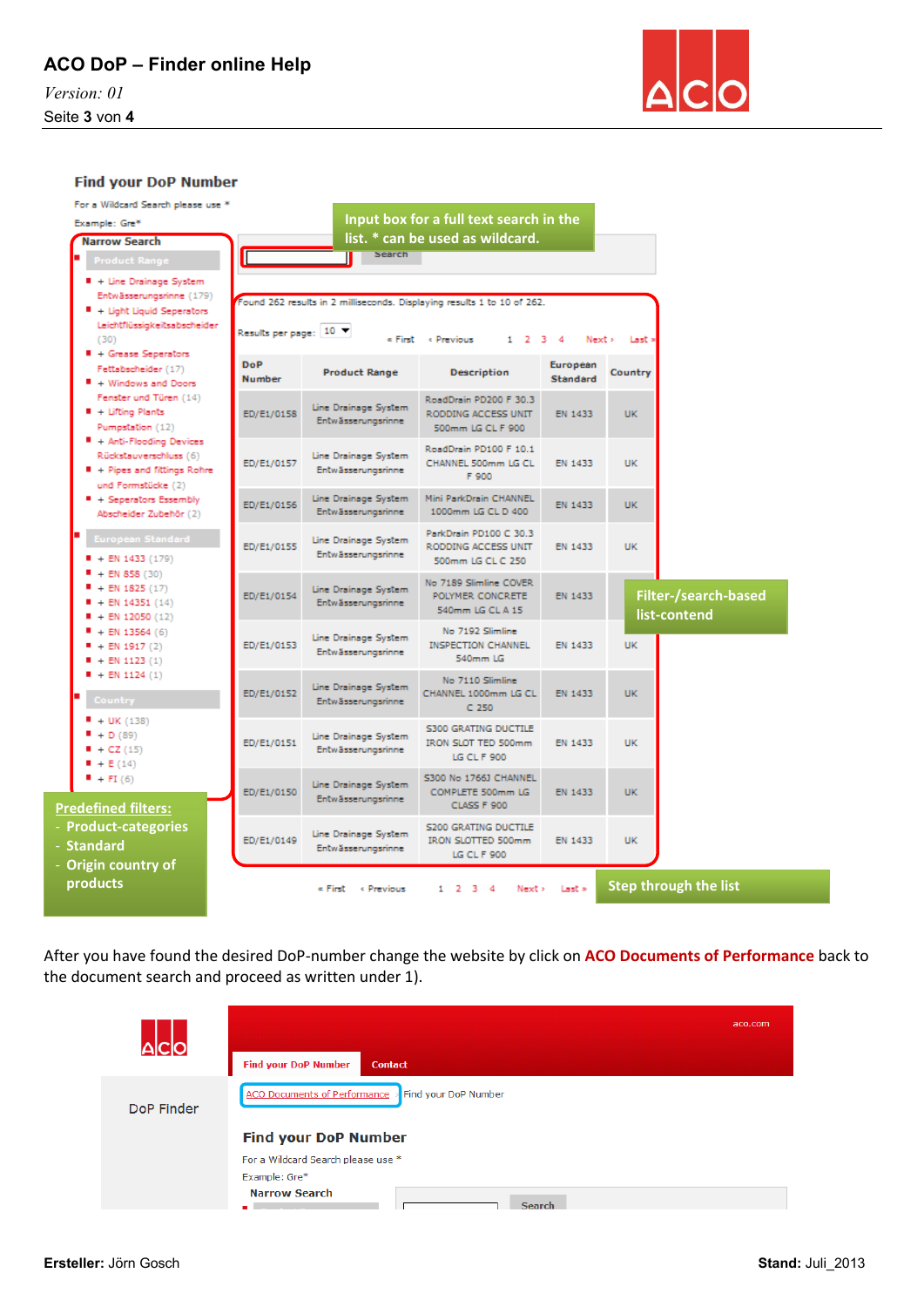*Version: 01* Seite **3** von **4**



#### **Find your DoP Number**

| For a Wildcard Search please use *<br>Example: Gre*<br><b>Narrow Search</b>                                                             |                      |                                                   | Input box for a full text search in the<br>list. * can be used as wildcard.                                      |                      |                                             |  |
|-----------------------------------------------------------------------------------------------------------------------------------------|----------------------|---------------------------------------------------|------------------------------------------------------------------------------------------------------------------|----------------------|---------------------------------------------|--|
| <b>Product Range</b>                                                                                                                    |                      | Search                                            |                                                                                                                  |                      |                                             |  |
| + Line Drainage System<br>Entwässerungsrinne (179)<br>+ Light Liquid Seperators<br>Leichtflüssigkeitsabscheider<br>(30)                 | Results per page: 10 |                                                   | Found 262 results in 2 milliseconds. Displaying results 1 to 10 of 262.<br>« First « Previous<br>$1 \t2 \t3 \t4$ | Next >               | Last a                                      |  |
| # + Grease Seperators<br>Fettabscheider (17)<br><sup>8</sup> + Windows and Doors                                                        | DoP<br><b>Number</b> | <b>Product Range</b>                              | <b>Description</b>                                                                                               | European<br>Standard | Country                                     |  |
| Fenster und Türen (14)<br>$+$ Lifting Plants<br>Pumpstation (12)                                                                        | ED/E1/0158           | Line Drainage System<br>Entwässerungsrinne        | RoadDrain PD200 F 30.3<br>RODDING ACCESS UNIT<br>500mm LG CL F 900                                               | EN 1433              | <b>UK</b>                                   |  |
| $+$ Anti-Flooding Devices<br>Rückstauverschluss (6)<br>■ + Pipes and fittings Rohre<br>und Formstücke (2)                               | ED/E1/0157           | Line Drainage System<br><b>Entwässerungsrinne</b> | RoadDrain PD100 F 10.1<br>CHANNEL 500mm LG CL<br>F 900                                                           | EN 1433              | <b>UK</b>                                   |  |
| $+$ Seperators Essembly<br>Abscheider Zubehör (2)                                                                                       | ED/E1/0156           | Line Drainage System<br>Entwässerungsrinne        | Mini ParkDrain CHANNEL<br>1000mm LG CL D 400                                                                     | EN 1433              | <b>UK</b>                                   |  |
| European Standard<br>$+$ EN 1433 (179)                                                                                                  | ED/E1/0155           | Line Drainage System<br>Entwässerungsrinne        | ParkDrain PD100 C 30.3<br>RODDING ACCESS UNIT<br>500mm LG CL C 250                                               | EN 1433              | UK                                          |  |
| $+$ EN 858 (30)<br>$+$ EN 1825 (17)<br>$+$ EN 14351 (14)<br>$+ EN 12050 (12)$<br>$+ EN 13564 (6)$<br>$+$ EN 1917 (2)<br>$+$ EN 1123 (1) | ED/E1/0154           | Line Drainage System<br>Entwässerungsrinne        | No 7189 Slimline COVER<br>POLYMER CONCRETE<br>540mm LG CL A 15                                                   | EN 1433              | <b>Filter-/search-based</b><br>list-contend |  |
|                                                                                                                                         | ED/E1/0153           | Line Drainage System<br>Entwässerungsrinne        | No 7192 Slimline<br><b>INSPECTION CHANNEL</b><br>540mm LG                                                        | EN 1433              | <b>UK</b>                                   |  |
| $+$ EN 1124 (1)<br>Country                                                                                                              | ED/E1/0152           | Line Drainage System<br>Entwässerungsrinne        | No 7110 Slimline<br>CHANNEL 1000mm LG CL<br>$C$ 250                                                              | EN 1433              | <b>UK</b>                                   |  |
| $+$ UK (138)<br>$+D(89)$<br>$+ CZ(15)$<br>$+ E(14)$                                                                                     | ED/E1/0151           | Line Drainage System<br>Entwässerungsrinne        | <b>S300 GRATING DUCTILE</b><br><b>IRON SLOT TED 500mm</b><br><b>LG CL F 900</b>                                  | EN 1433              | <b>UK</b>                                   |  |
| $+FI(6)$<br><b>Predefined filters:</b>                                                                                                  | ED/E1/0150           | Line Drainage System<br>Entwässerungsrinne        | S300 No 1766J CHANNEL<br>COMPLETE 500mm LG<br>CLASS F 900                                                        | EN 1433              | <b>UK</b>                                   |  |
| <b>Product-categories</b><br><b>Standard</b>                                                                                            | ED/E1/0149           | Line Drainage System<br>Entwässerungsrinne        | <b>S200 GRATING DUCTILE</b><br><b>IRON SLOTTED 500mm</b><br>LG CL F 900                                          | EN 1433              | <b>UK</b>                                   |  |
| <b>Origin country of</b><br>products                                                                                                    |                      | « First « Previous                                | $1 \t2 \t3 \t4$<br>Next >                                                                                        | Last »               | <b>Step through the list</b>                |  |

After you have found the desired DoP-number change the website by click on **ACO Documents of Performance** back to the document search and proceed as written under 1).

|            | <b>Find your DoP Number</b><br><b>Contact</b>                                                | aco.com |
|------------|----------------------------------------------------------------------------------------------|---------|
| DoP Finder | <b>ACO Documents of Performance</b><br>Find your DoP Number<br><b>Find your DoP Number</b>   |         |
|            | For a Wildcard Search please use *<br>Example: Gre*<br><b>Narrow Search</b><br><b>Search</b> |         |